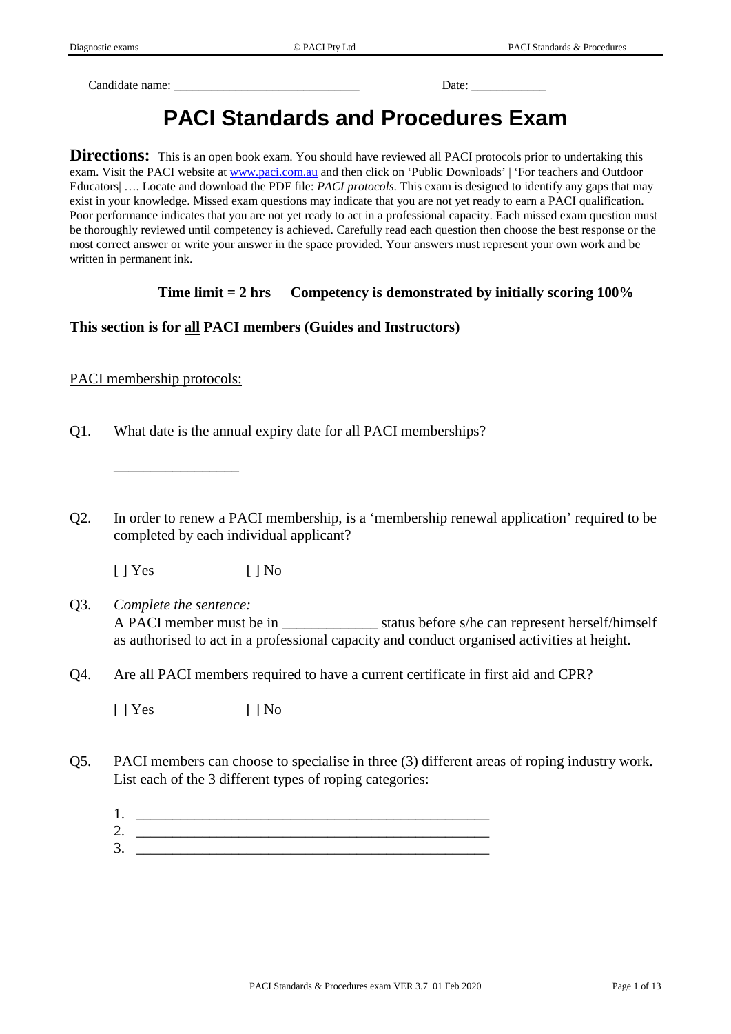Candidate name: \_\_\_\_\_\_\_\_\_\_\_\_\_\_\_\_\_\_\_\_\_\_\_\_\_\_\_\_\_\_ Date: \_\_\_\_\_\_\_\_\_\_\_\_

# **PACI Standards and Procedures Exam**

**Directions:** This is an open book exam. You should have reviewed all PACI protocols prior to undertaking this exam. Visit the PACI website at [www.paci.com.au](http://www.paci.com.au/) and then click on 'Public Downloads' | 'For teachers and Outdoor Educators| …. Locate and download the PDF file: *PACI protocols*. This exam is designed to identify any gaps that may exist in your knowledge. Missed exam questions may indicate that you are not yet ready to earn a PACI qualification. Poor performance indicates that you are not yet ready to act in a professional capacity. Each missed exam question must be thoroughly reviewed until competency is achieved. Carefully read each question then choose the best response or the most correct answer or write your answer in the space provided. Your answers must represent your own work and be written in permanent ink.

## **Time limit = 2 hrs Competency is demonstrated by initially scoring 100%**

## **This section is for all PACI members (Guides and Instructors)**

PACI membership protocols:

 $\overline{\phantom{a}}$  , where  $\overline{\phantom{a}}$ 

- Q1. What date is the annual expiry date for all PACI memberships?
- Q2. In order to renew a PACI membership, is a 'membership renewal application' required to be completed by each individual applicant?

[ ] Yes [ ] No

- Q3. *Complete the sentence:* A PACI member must be in \_\_\_\_\_\_\_\_\_\_\_\_\_ status before s/he can represent herself/himself as authorised to act in a professional capacity and conduct organised activities at height.
- Q4. Are all PACI members required to have a current certificate in first aid and CPR?

 $[ ]$  Yes  $[ ]$  No

- Q5. PACI members can choose to specialise in three (3) different areas of roping industry work. List each of the 3 different types of roping categories:
	- $1.$
	- 2. \_\_\_\_\_\_\_\_\_\_\_\_\_\_\_\_\_\_\_\_\_\_\_\_\_\_\_\_\_\_\_\_\_\_\_\_\_\_\_\_\_\_\_\_\_\_\_\_
	- 3. \_\_\_\_\_\_\_\_\_\_\_\_\_\_\_\_\_\_\_\_\_\_\_\_\_\_\_\_\_\_\_\_\_\_\_\_\_\_\_\_\_\_\_\_\_\_\_\_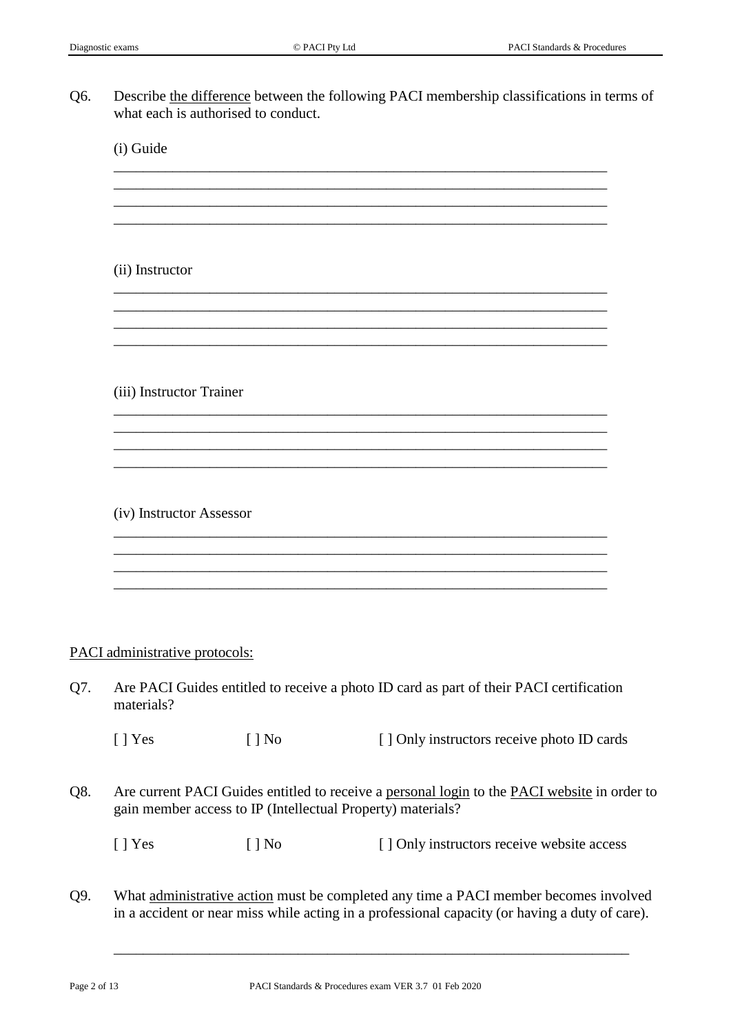Q6. Describe the difference between the following PACI membership classifications in terms of what each is authorised to conduct.

\_\_\_\_\_\_\_\_\_\_\_\_\_\_\_\_\_\_\_\_\_\_\_\_\_\_\_\_\_\_\_\_\_\_\_\_\_\_\_\_\_\_\_\_\_\_\_\_\_\_\_\_\_\_\_\_\_\_\_\_\_\_\_\_\_\_\_ \_\_\_\_\_\_\_\_\_\_\_\_\_\_\_\_\_\_\_\_\_\_\_\_\_\_\_\_\_\_\_\_\_\_\_\_\_\_\_\_\_\_\_\_\_\_\_\_\_\_\_\_\_\_\_\_\_\_\_\_\_\_\_\_\_\_\_ \_\_\_\_\_\_\_\_\_\_\_\_\_\_\_\_\_\_\_\_\_\_\_\_\_\_\_\_\_\_\_\_\_\_\_\_\_\_\_\_\_\_\_\_\_\_\_\_\_\_\_\_\_\_\_\_\_\_\_\_\_\_\_\_\_\_\_ \_\_\_\_\_\_\_\_\_\_\_\_\_\_\_\_\_\_\_\_\_\_\_\_\_\_\_\_\_\_\_\_\_\_\_\_\_\_\_\_\_\_\_\_\_\_\_\_\_\_\_\_\_\_\_\_\_\_\_\_\_\_\_\_\_\_\_

\_\_\_\_\_\_\_\_\_\_\_\_\_\_\_\_\_\_\_\_\_\_\_\_\_\_\_\_\_\_\_\_\_\_\_\_\_\_\_\_\_\_\_\_\_\_\_\_\_\_\_\_\_\_\_\_\_\_\_\_\_\_\_\_\_\_\_ \_\_\_\_\_\_\_\_\_\_\_\_\_\_\_\_\_\_\_\_\_\_\_\_\_\_\_\_\_\_\_\_\_\_\_\_\_\_\_\_\_\_\_\_\_\_\_\_\_\_\_\_\_\_\_\_\_\_\_\_\_\_\_\_\_\_\_ \_\_\_\_\_\_\_\_\_\_\_\_\_\_\_\_\_\_\_\_\_\_\_\_\_\_\_\_\_\_\_\_\_\_\_\_\_\_\_\_\_\_\_\_\_\_\_\_\_\_\_\_\_\_\_\_\_\_\_\_\_\_\_\_\_\_\_ \_\_\_\_\_\_\_\_\_\_\_\_\_\_\_\_\_\_\_\_\_\_\_\_\_\_\_\_\_\_\_\_\_\_\_\_\_\_\_\_\_\_\_\_\_\_\_\_\_\_\_\_\_\_\_\_\_\_\_\_\_\_\_\_\_\_\_

\_\_\_\_\_\_\_\_\_\_\_\_\_\_\_\_\_\_\_\_\_\_\_\_\_\_\_\_\_\_\_\_\_\_\_\_\_\_\_\_\_\_\_\_\_\_\_\_\_\_\_\_\_\_\_\_\_\_\_\_\_\_\_\_\_\_\_ \_\_\_\_\_\_\_\_\_\_\_\_\_\_\_\_\_\_\_\_\_\_\_\_\_\_\_\_\_\_\_\_\_\_\_\_\_\_\_\_\_\_\_\_\_\_\_\_\_\_\_\_\_\_\_\_\_\_\_\_\_\_\_\_\_\_\_ \_\_\_\_\_\_\_\_\_\_\_\_\_\_\_\_\_\_\_\_\_\_\_\_\_\_\_\_\_\_\_\_\_\_\_\_\_\_\_\_\_\_\_\_\_\_\_\_\_\_\_\_\_\_\_\_\_\_\_\_\_\_\_\_\_\_\_

\_\_\_\_\_\_\_\_\_\_\_\_\_\_\_\_\_\_\_\_\_\_\_\_\_\_\_\_\_\_\_\_\_\_\_\_\_\_\_\_\_\_\_\_\_\_\_\_\_\_\_\_\_\_\_\_\_\_\_\_\_\_\_\_\_\_\_ \_\_\_\_\_\_\_\_\_\_\_\_\_\_\_\_\_\_\_\_\_\_\_\_\_\_\_\_\_\_\_\_\_\_\_\_\_\_\_\_\_\_\_\_\_\_\_\_\_\_\_\_\_\_\_\_\_\_\_\_\_\_\_\_\_\_\_ \_\_\_\_\_\_\_\_\_\_\_\_\_\_\_\_\_\_\_\_\_\_\_\_\_\_\_\_\_\_\_\_\_\_\_\_\_\_\_\_\_\_\_\_\_\_\_\_\_\_\_\_\_\_\_\_\_\_\_\_\_\_\_\_\_\_\_ \_\_\_\_\_\_\_\_\_\_\_\_\_\_\_\_\_\_\_\_\_\_\_\_\_\_\_\_\_\_\_\_\_\_\_\_\_\_\_\_\_\_\_\_\_\_\_\_\_\_\_\_\_\_\_\_\_\_\_\_\_\_\_\_\_\_\_

(i) Guide

(ii) Instructor

(iii) Instructor Trainer

(iv) Instructor Assessor

## PACI administrative protocols:

| Q7. | Are PACI Guides entitled to receive a photo ID card as part of their PACI certification<br>materials?                                                       |        |                                                                                                                                                                                        |  |
|-----|-------------------------------------------------------------------------------------------------------------------------------------------------------------|--------|----------------------------------------------------------------------------------------------------------------------------------------------------------------------------------------|--|
|     | $\lceil$   Yes                                                                                                                                              | [ ] No | [] Only instructors receive photo ID cards                                                                                                                                             |  |
| Q8. | Are current PACI Guides entitled to receive a personal login to the PACI website in order to<br>gain member access to IP (Intellectual Property) materials? |        |                                                                                                                                                                                        |  |
|     | $\lceil$   Yes                                                                                                                                              | [ ] No | [] Only instructors receive website access                                                                                                                                             |  |
| Q9. |                                                                                                                                                             |        | What administrative action must be completed any time a PACI member becomes involved<br>in a accident or near miss while acting in a professional capacity (or having a duty of care). |  |

\_\_\_\_\_\_\_\_\_\_\_\_\_\_\_\_\_\_\_\_\_\_\_\_\_\_\_\_\_\_\_\_\_\_\_\_\_\_\_\_\_\_\_\_\_\_\_\_\_\_\_\_\_\_\_\_\_\_\_\_\_\_\_\_\_\_\_\_\_\_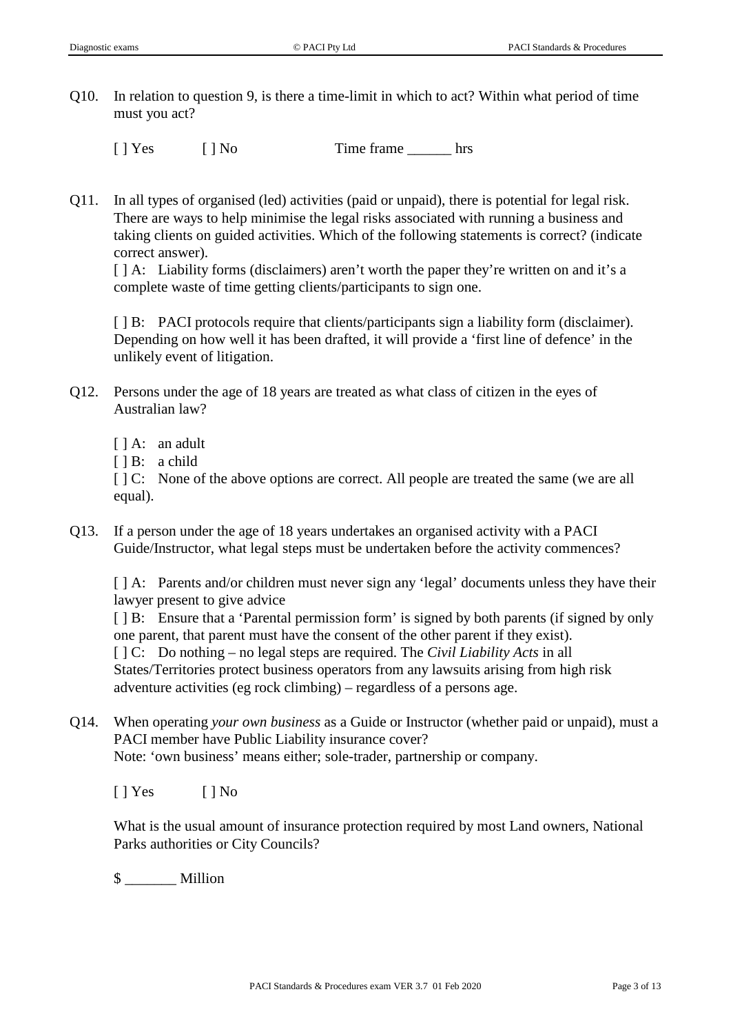Q10. In relation to question 9, is there a time-limit in which to act? Within what period of time must you act?

[ ] Yes [ ] No Time frame hrs

Q11. In all types of organised (led) activities (paid or unpaid), there is potential for legal risk. There are ways to help minimise the legal risks associated with running a business and taking clients on guided activities. Which of the following statements is correct? (indicate correct answer).

[ ] A: Liability forms (disclaimers) aren't worth the paper they're written on and it's a complete waste of time getting clients/participants to sign one.

[  $\parallel$  B: PACI protocols require that clients/participants sign a liability form (disclaimer). Depending on how well it has been drafted, it will provide a 'first line of defence' in the unlikely event of litigation.

- Q12. Persons under the age of 18 years are treated as what class of citizen in the eyes of Australian law?
	- [ ] A: an adult
	- [ ] B: a child

[  $\vert$  C: None of the above options are correct. All people are treated the same (we are all equal).

Q13. If a person under the age of 18 years undertakes an organised activity with a PACI Guide/Instructor, what legal steps must be undertaken before the activity commences?

[ ] A: Parents and/or children must never sign any 'legal' documents unless they have their lawyer present to give advice

[  $\vert$  B: Ensure that a 'Parental permission form' is signed by both parents (if signed by only one parent, that parent must have the consent of the other parent if they exist).

[ ] C: Do nothing – no legal steps are required. The *Civil Liability Acts* in all States/Territories protect business operators from any lawsuits arising from high risk adventure activities (eg rock climbing) – regardless of a persons age.

Q14. When operating *your own business* as a Guide or Instructor (whether paid or unpaid), must a PACI member have Public Liability insurance cover? Note: 'own business' means either; sole-trader, partnership or company.

[ ] Yes [ ] No

What is the usual amount of insurance protection required by most Land owners, National Parks authorities or City Councils?

\$ \_\_\_\_\_\_\_ Million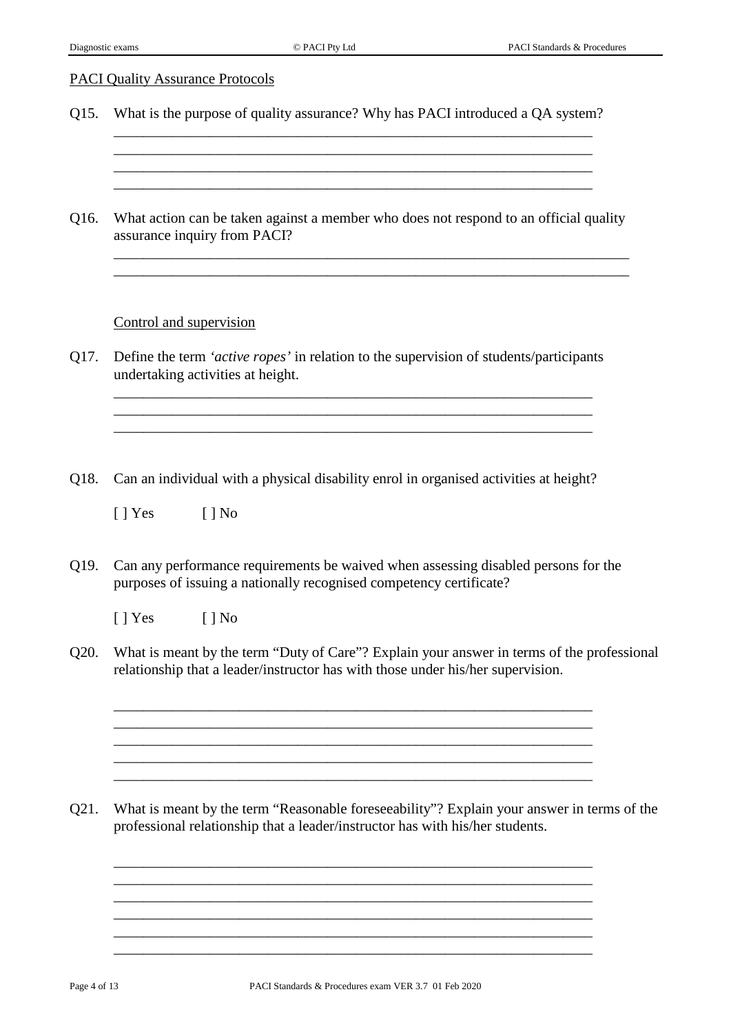## PACI Quality Assurance Protocols

Q15. What is the purpose of quality assurance? Why has PACI introduced a QA system?

\_\_\_\_\_\_\_\_\_\_\_\_\_\_\_\_\_\_\_\_\_\_\_\_\_\_\_\_\_\_\_\_\_\_\_\_\_\_\_\_\_\_\_\_\_\_\_\_\_\_\_\_\_\_\_\_\_\_\_\_\_\_\_\_\_ \_\_\_\_\_\_\_\_\_\_\_\_\_\_\_\_\_\_\_\_\_\_\_\_\_\_\_\_\_\_\_\_\_\_\_\_\_\_\_\_\_\_\_\_\_\_\_\_\_\_\_\_\_\_\_\_\_\_\_\_\_\_\_\_\_ \_\_\_\_\_\_\_\_\_\_\_\_\_\_\_\_\_\_\_\_\_\_\_\_\_\_\_\_\_\_\_\_\_\_\_\_\_\_\_\_\_\_\_\_\_\_\_\_\_\_\_\_\_\_\_\_\_\_\_\_\_\_\_\_\_

Q16. What action can be taken against a member who does not respond to an official quality assurance inquiry from PACI?

\_\_\_\_\_\_\_\_\_\_\_\_\_\_\_\_\_\_\_\_\_\_\_\_\_\_\_\_\_\_\_\_\_\_\_\_\_\_\_\_\_\_\_\_\_\_\_\_\_\_\_\_\_\_\_\_\_\_\_\_\_\_\_\_\_\_\_\_\_\_ \_\_\_\_\_\_\_\_\_\_\_\_\_\_\_\_\_\_\_\_\_\_\_\_\_\_\_\_\_\_\_\_\_\_\_\_\_\_\_\_\_\_\_\_\_\_\_\_\_\_\_\_\_\_\_\_\_\_\_\_\_\_\_\_\_\_\_\_\_\_

## Control and supervision

Q17. Define the term *'active ropes'* in relation to the supervision of students/participants undertaking activities at height.

\_\_\_\_\_\_\_\_\_\_\_\_\_\_\_\_\_\_\_\_\_\_\_\_\_\_\_\_\_\_\_\_\_\_\_\_\_\_\_\_\_\_\_\_\_\_\_\_\_\_\_\_\_\_\_\_\_\_\_\_\_\_\_\_\_ \_\_\_\_\_\_\_\_\_\_\_\_\_\_\_\_\_\_\_\_\_\_\_\_\_\_\_\_\_\_\_\_\_\_\_\_\_\_\_\_\_\_\_\_\_\_\_\_\_\_\_\_\_\_\_\_\_\_\_\_\_\_\_\_\_ \_\_\_\_\_\_\_\_\_\_\_\_\_\_\_\_\_\_\_\_\_\_\_\_\_\_\_\_\_\_\_\_\_\_\_\_\_\_\_\_\_\_\_\_\_\_\_\_\_\_\_\_\_\_\_\_\_\_\_\_\_\_\_\_\_

Q18. Can an individual with a physical disability enrol in organised activities at height?

[ ] Yes [ ] No

Q19. Can any performance requirements be waived when assessing disabled persons for the purposes of issuing a nationally recognised competency certificate?

[ ] Yes [ ] No

Q20. What is meant by the term "Duty of Care"? Explain your answer in terms of the professional relationship that a leader/instructor has with those under his/her supervision.

\_\_\_\_\_\_\_\_\_\_\_\_\_\_\_\_\_\_\_\_\_\_\_\_\_\_\_\_\_\_\_\_\_\_\_\_\_\_\_\_\_\_\_\_\_\_\_\_\_\_\_\_\_\_\_\_\_\_\_\_\_\_\_\_\_ \_\_\_\_\_\_\_\_\_\_\_\_\_\_\_\_\_\_\_\_\_\_\_\_\_\_\_\_\_\_\_\_\_\_\_\_\_\_\_\_\_\_\_\_\_\_\_\_\_\_\_\_\_\_\_\_\_\_\_\_\_\_\_\_\_ \_\_\_\_\_\_\_\_\_\_\_\_\_\_\_\_\_\_\_\_\_\_\_\_\_\_\_\_\_\_\_\_\_\_\_\_\_\_\_\_\_\_\_\_\_\_\_\_\_\_\_\_\_\_\_\_\_\_\_\_\_\_\_\_\_

\_\_\_\_\_\_\_\_\_\_\_\_\_\_\_\_\_\_\_\_\_\_\_\_\_\_\_\_\_\_\_\_\_\_\_\_\_\_\_\_\_\_\_\_\_\_\_\_\_\_\_\_\_\_\_\_\_\_\_\_\_\_\_\_\_

\_\_\_\_\_\_\_\_\_\_\_\_\_\_\_\_\_\_\_\_\_\_\_\_\_\_\_\_\_\_\_\_\_\_\_\_\_\_\_\_\_\_\_\_\_\_\_\_\_\_\_\_\_\_\_\_\_\_\_\_\_\_\_\_\_ \_\_\_\_\_\_\_\_\_\_\_\_\_\_\_\_\_\_\_\_\_\_\_\_\_\_\_\_\_\_\_\_\_\_\_\_\_\_\_\_\_\_\_\_\_\_\_\_\_\_\_\_\_\_\_\_\_\_\_\_\_\_\_\_\_ \_\_\_\_\_\_\_\_\_\_\_\_\_\_\_\_\_\_\_\_\_\_\_\_\_\_\_\_\_\_\_\_\_\_\_\_\_\_\_\_\_\_\_\_\_\_\_\_\_\_\_\_\_\_\_\_\_\_\_\_\_\_\_\_\_ \_\_\_\_\_\_\_\_\_\_\_\_\_\_\_\_\_\_\_\_\_\_\_\_\_\_\_\_\_\_\_\_\_\_\_\_\_\_\_\_\_\_\_\_\_\_\_\_\_\_\_\_\_\_\_\_\_\_\_\_\_\_\_\_\_ \_\_\_\_\_\_\_\_\_\_\_\_\_\_\_\_\_\_\_\_\_\_\_\_\_\_\_\_\_\_\_\_\_\_\_\_\_\_\_\_\_\_\_\_\_\_\_\_\_\_\_\_\_\_\_\_\_\_\_\_\_\_\_\_\_ \_\_\_\_\_\_\_\_\_\_\_\_\_\_\_\_\_\_\_\_\_\_\_\_\_\_\_\_\_\_\_\_\_\_\_\_\_\_\_\_\_\_\_\_\_\_\_\_\_\_\_\_\_\_\_\_\_\_\_\_\_\_\_\_\_

Q21. What is meant by the term "Reasonable foreseeability"? Explain your answer in terms of the professional relationship that a leader/instructor has with his/her students.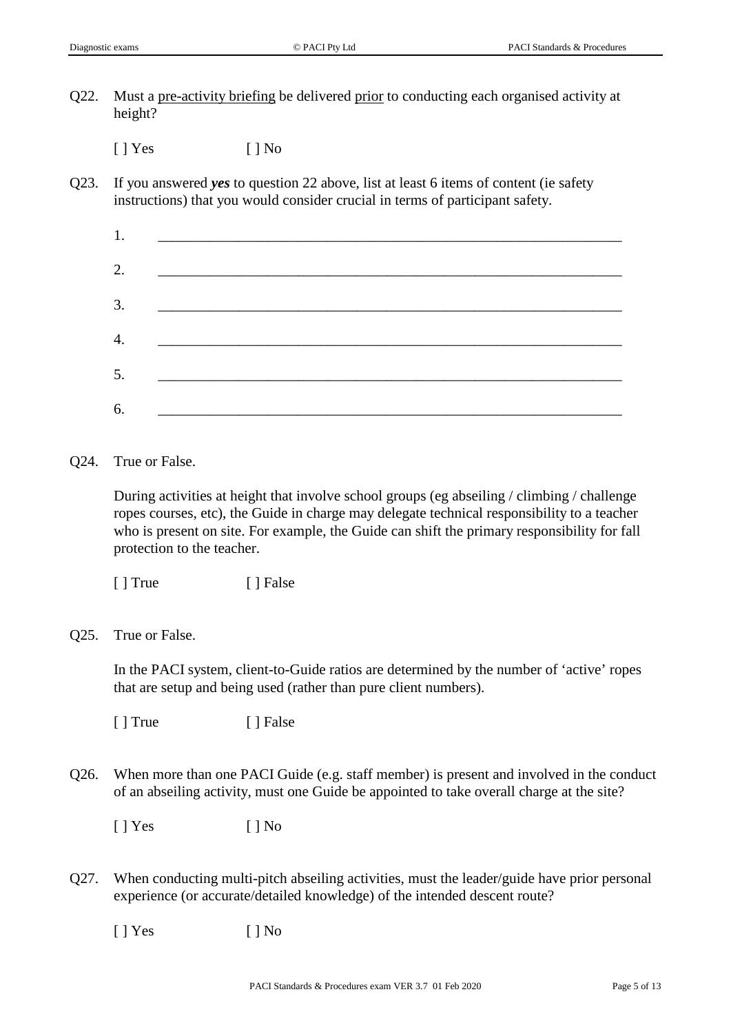Q22. Must a pre-activity briefing be delivered prior to conducting each organised activity at height?

 $[ ]$  Yes  $[ ]$  No

Q23. If you answered *yes* to question 22 above, list at least 6 items of content (ie safety instructions) that you would consider crucial in terms of participant safety.

| 1  |                                                              |  |
|----|--------------------------------------------------------------|--|
| 2. |                                                              |  |
| 3. |                                                              |  |
| 4. | <u> 1989 - Johann John Stone, market francuski filozof (</u> |  |
|    |                                                              |  |
| 5. |                                                              |  |
| 6. | <u> 1989 - Johann Barbara, martxa alemaniar a</u>            |  |

Q24. True or False.

During activities at height that involve school groups (eg abseiling / climbing / challenge ropes courses, etc), the Guide in charge may delegate technical responsibility to a teacher who is present on site. For example, the Guide can shift the primary responsibility for fall protection to the teacher.

[ ] True [ ] False

Q25. True or False.

In the PACI system, client-to-Guide ratios are determined by the number of 'active' ropes that are setup and being used (rather than pure client numbers).

[ ] True [ ] False

Q26. When more than one PACI Guide (e.g. staff member) is present and involved in the conduct of an abseiling activity, must one Guide be appointed to take overall charge at the site?

 $[ ]$  Yes  $[ ]$  No

Q27. When conducting multi-pitch abseiling activities, must the leader/guide have prior personal experience (or accurate/detailed knowledge) of the intended descent route?

[ ] Yes [ ] No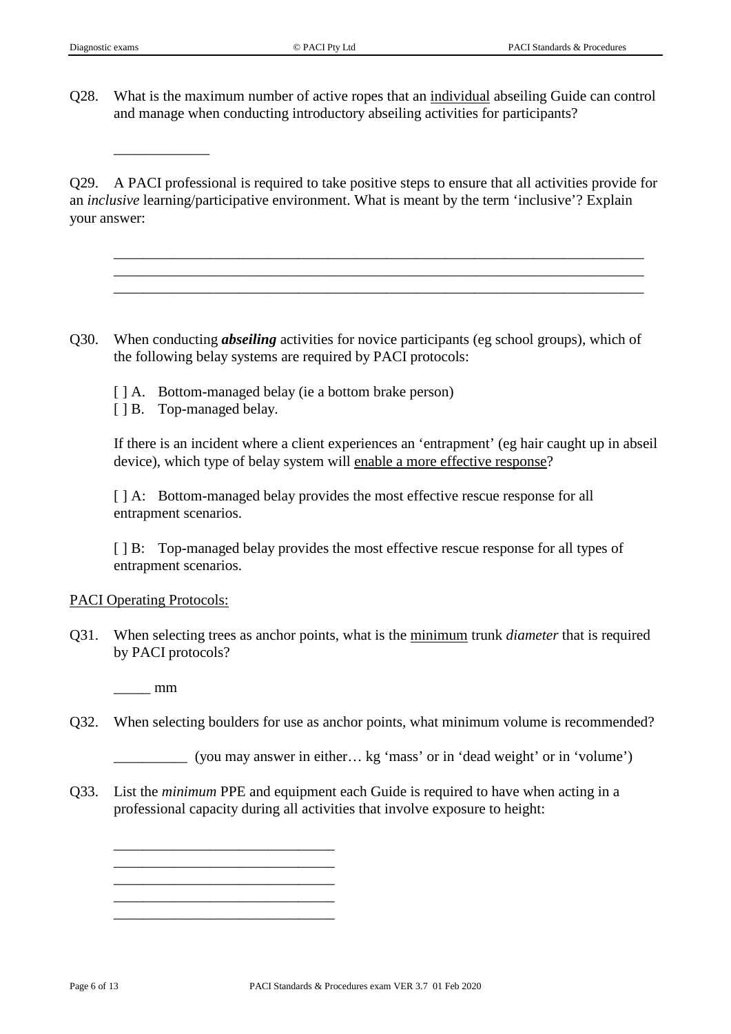\_\_\_\_\_\_\_\_\_\_\_\_\_

Q28. What is the maximum number of active ropes that an individual abseiling Guide can control and manage when conducting introductory abseiling activities for participants?

Q29. A PACI professional is required to take positive steps to ensure that all activities provide for an *inclusive* learning/participative environment. What is meant by the term 'inclusive'? Explain your answer:

\_\_\_\_\_\_\_\_\_\_\_\_\_\_\_\_\_\_\_\_\_\_\_\_\_\_\_\_\_\_\_\_\_\_\_\_\_\_\_\_\_\_\_\_\_\_\_\_\_\_\_\_\_\_\_\_\_\_\_\_\_\_\_\_\_\_\_\_\_\_\_\_ \_\_\_\_\_\_\_\_\_\_\_\_\_\_\_\_\_\_\_\_\_\_\_\_\_\_\_\_\_\_\_\_\_\_\_\_\_\_\_\_\_\_\_\_\_\_\_\_\_\_\_\_\_\_\_\_\_\_\_\_\_\_\_\_\_\_\_\_\_\_\_\_ \_\_\_\_\_\_\_\_\_\_\_\_\_\_\_\_\_\_\_\_\_\_\_\_\_\_\_\_\_\_\_\_\_\_\_\_\_\_\_\_\_\_\_\_\_\_\_\_\_\_\_\_\_\_\_\_\_\_\_\_\_\_\_\_\_\_\_\_\_\_\_\_

- Q30. When conducting *abseiling* activities for novice participants (eg school groups), which of the following belay systems are required by PACI protocols:
	- [ ] A. Bottom-managed belay (ie a bottom brake person)
	- [ ] B. Top-managed belay.

If there is an incident where a client experiences an 'entrapment' (eg hair caught up in abseil device), which type of belay system will enable a more effective response?

[ ] A: Bottom-managed belay provides the most effective rescue response for all entrapment scenarios.

[ ] B: Top-managed belay provides the most effective rescue response for all types of entrapment scenarios.

#### PACI Operating Protocols:

Q31. When selecting trees as anchor points, what is the minimum trunk *diameter* that is required by PACI protocols?

 $\_\_\_\$  mm

\_\_\_\_\_\_\_\_\_\_\_\_\_\_\_\_\_\_\_\_\_\_\_\_\_\_\_\_\_\_ \_\_\_\_\_\_\_\_\_\_\_\_\_\_\_\_\_\_\_\_\_\_\_\_\_\_\_\_\_\_ \_\_\_\_\_\_\_\_\_\_\_\_\_\_\_\_\_\_\_\_\_\_\_\_\_\_\_\_\_\_ \_\_\_\_\_\_\_\_\_\_\_\_\_\_\_\_\_\_\_\_\_\_\_\_\_\_\_\_\_\_ \_\_\_\_\_\_\_\_\_\_\_\_\_\_\_\_\_\_\_\_\_\_\_\_\_\_\_\_\_\_

Q32. When selecting boulders for use as anchor points, what minimum volume is recommended?

\_\_\_\_\_\_\_\_\_\_ (you may answer in either… kg 'mass' or in 'dead weight' or in 'volume')

Q33. List the *minimum* PPE and equipment each Guide is required to have when acting in a professional capacity during all activities that involve exposure to height: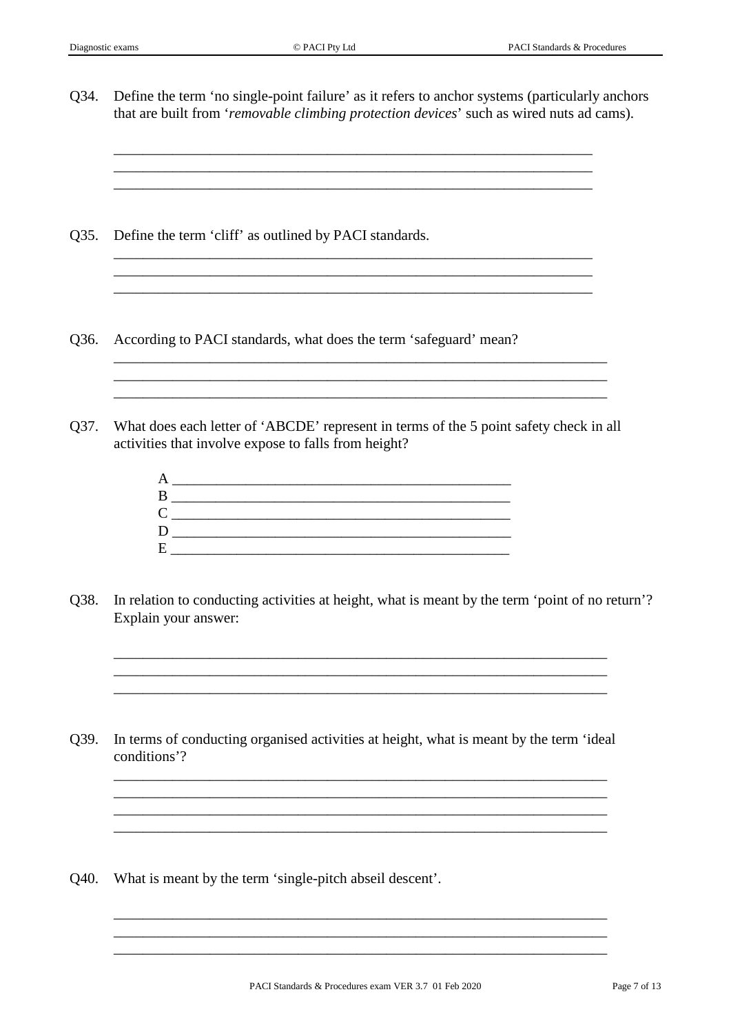Q34. Define the term 'no single-point failure' as it refers to anchor systems (particularly anchors that are built from '*removable climbing protection devices*' such as wired nuts ad cams).

\_\_\_\_\_\_\_\_\_\_\_\_\_\_\_\_\_\_\_\_\_\_\_\_\_\_\_\_\_\_\_\_\_\_\_\_\_\_\_\_\_\_\_\_\_\_\_\_\_\_\_\_\_\_\_\_\_\_\_\_\_\_\_\_\_ \_\_\_\_\_\_\_\_\_\_\_\_\_\_\_\_\_\_\_\_\_\_\_\_\_\_\_\_\_\_\_\_\_\_\_\_\_\_\_\_\_\_\_\_\_\_\_\_\_\_\_\_\_\_\_\_\_\_\_\_\_\_\_\_\_ \_\_\_\_\_\_\_\_\_\_\_\_\_\_\_\_\_\_\_\_\_\_\_\_\_\_\_\_\_\_\_\_\_\_\_\_\_\_\_\_\_\_\_\_\_\_\_\_\_\_\_\_\_\_\_\_\_\_\_\_\_\_\_\_\_

\_\_\_\_\_\_\_\_\_\_\_\_\_\_\_\_\_\_\_\_\_\_\_\_\_\_\_\_\_\_\_\_\_\_\_\_\_\_\_\_\_\_\_\_\_\_\_\_\_\_\_\_\_\_\_\_\_\_\_\_\_\_\_\_\_ \_\_\_\_\_\_\_\_\_\_\_\_\_\_\_\_\_\_\_\_\_\_\_\_\_\_\_\_\_\_\_\_\_\_\_\_\_\_\_\_\_\_\_\_\_\_\_\_\_\_\_\_\_\_\_\_\_\_\_\_\_\_\_\_\_ \_\_\_\_\_\_\_\_\_\_\_\_\_\_\_\_\_\_\_\_\_\_\_\_\_\_\_\_\_\_\_\_\_\_\_\_\_\_\_\_\_\_\_\_\_\_\_\_\_\_\_\_\_\_\_\_\_\_\_\_\_\_\_\_\_

\_\_\_\_\_\_\_\_\_\_\_\_\_\_\_\_\_\_\_\_\_\_\_\_\_\_\_\_\_\_\_\_\_\_\_\_\_\_\_\_\_\_\_\_\_\_\_\_\_\_\_\_\_\_\_\_\_\_\_\_\_\_\_\_\_\_\_ \_\_\_\_\_\_\_\_\_\_\_\_\_\_\_\_\_\_\_\_\_\_\_\_\_\_\_\_\_\_\_\_\_\_\_\_\_\_\_\_\_\_\_\_\_\_\_\_\_\_\_\_\_\_\_\_\_\_\_\_\_\_\_\_\_\_\_

Q35. Define the term 'cliff' as outlined by PACI standards.

- Q36. According to PACI standards, what does the term 'safeguard' mean?
- Q37. What does each letter of 'ABCDE' represent in terms of the 5 point safety check in all activities that involve expose to falls from height?

| А                 |  |
|-------------------|--|
| B                 |  |
| $\mathsf{\Gamma}$ |  |
| I)                |  |
| F.                |  |
|                   |  |

Q38. In relation to conducting activities at height, what is meant by the term 'point of no return'? Explain your answer:

\_\_\_\_\_\_\_\_\_\_\_\_\_\_\_\_\_\_\_\_\_\_\_\_\_\_\_\_\_\_\_\_\_\_\_\_\_\_\_\_\_\_\_\_\_\_\_\_\_\_\_\_\_\_\_\_\_\_\_\_\_\_\_\_\_\_\_ \_\_\_\_\_\_\_\_\_\_\_\_\_\_\_\_\_\_\_\_\_\_\_\_\_\_\_\_\_\_\_\_\_\_\_\_\_\_\_\_\_\_\_\_\_\_\_\_\_\_\_\_\_\_\_\_\_\_\_\_\_\_\_\_\_\_\_ \_\_\_\_\_\_\_\_\_\_\_\_\_\_\_\_\_\_\_\_\_\_\_\_\_\_\_\_\_\_\_\_\_\_\_\_\_\_\_\_\_\_\_\_\_\_\_\_\_\_\_\_\_\_\_\_\_\_\_\_\_\_\_\_\_\_\_

Q39. In terms of conducting organised activities at height, what is meant by the term 'ideal conditions'?

\_\_\_\_\_\_\_\_\_\_\_\_\_\_\_\_\_\_\_\_\_\_\_\_\_\_\_\_\_\_\_\_\_\_\_\_\_\_\_\_\_\_\_\_\_\_\_\_\_\_\_\_\_\_\_\_\_\_\_\_\_\_\_\_\_\_\_ \_\_\_\_\_\_\_\_\_\_\_\_\_\_\_\_\_\_\_\_\_\_\_\_\_\_\_\_\_\_\_\_\_\_\_\_\_\_\_\_\_\_\_\_\_\_\_\_\_\_\_\_\_\_\_\_\_\_\_\_\_\_\_\_\_\_\_ \_\_\_\_\_\_\_\_\_\_\_\_\_\_\_\_\_\_\_\_\_\_\_\_\_\_\_\_\_\_\_\_\_\_\_\_\_\_\_\_\_\_\_\_\_\_\_\_\_\_\_\_\_\_\_\_\_\_\_\_\_\_\_\_\_\_\_

Q40. What is meant by the term 'single-pitch abseil descent'.

\_\_\_\_\_\_\_\_\_\_\_\_\_\_\_\_\_\_\_\_\_\_\_\_\_\_\_\_\_\_\_\_\_\_\_\_\_\_\_\_\_\_\_\_\_\_\_\_\_\_\_\_\_\_\_\_\_\_\_\_\_\_\_\_\_\_\_ \_\_\_\_\_\_\_\_\_\_\_\_\_\_\_\_\_\_\_\_\_\_\_\_\_\_\_\_\_\_\_\_\_\_\_\_\_\_\_\_\_\_\_\_\_\_\_\_\_\_\_\_\_\_\_\_\_\_\_\_\_\_\_\_\_\_\_ \_\_\_\_\_\_\_\_\_\_\_\_\_\_\_\_\_\_\_\_\_\_\_\_\_\_\_\_\_\_\_\_\_\_\_\_\_\_\_\_\_\_\_\_\_\_\_\_\_\_\_\_\_\_\_\_\_\_\_\_\_\_\_\_\_\_\_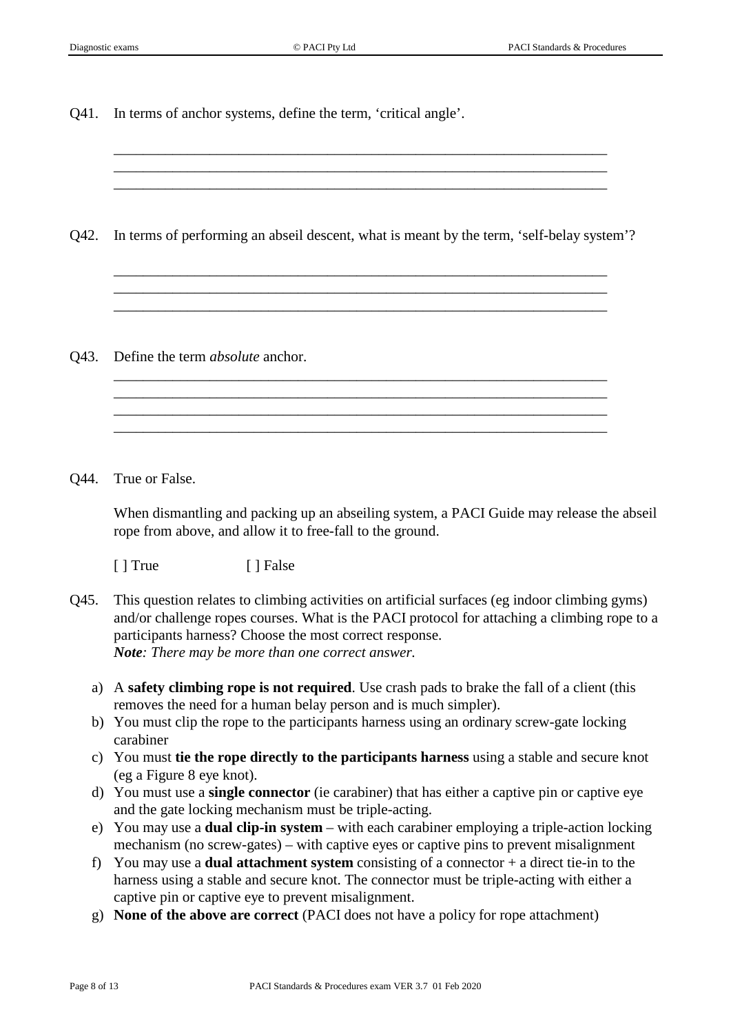Q41. In terms of anchor systems, define the term, 'critical angle'.

Q42. In terms of performing an abseil descent, what is meant by the term, 'self-belay system'?

\_\_\_\_\_\_\_\_\_\_\_\_\_\_\_\_\_\_\_\_\_\_\_\_\_\_\_\_\_\_\_\_\_\_\_\_\_\_\_\_\_\_\_\_\_\_\_\_\_\_\_\_\_\_\_\_\_\_\_\_\_\_\_\_\_\_\_ \_\_\_\_\_\_\_\_\_\_\_\_\_\_\_\_\_\_\_\_\_\_\_\_\_\_\_\_\_\_\_\_\_\_\_\_\_\_\_\_\_\_\_\_\_\_\_\_\_\_\_\_\_\_\_\_\_\_\_\_\_\_\_\_\_\_\_ \_\_\_\_\_\_\_\_\_\_\_\_\_\_\_\_\_\_\_\_\_\_\_\_\_\_\_\_\_\_\_\_\_\_\_\_\_\_\_\_\_\_\_\_\_\_\_\_\_\_\_\_\_\_\_\_\_\_\_\_\_\_\_\_\_\_\_

\_\_\_\_\_\_\_\_\_\_\_\_\_\_\_\_\_\_\_\_\_\_\_\_\_\_\_\_\_\_\_\_\_\_\_\_\_\_\_\_\_\_\_\_\_\_\_\_\_\_\_\_\_\_\_\_\_\_\_\_\_\_\_\_\_\_\_ \_\_\_\_\_\_\_\_\_\_\_\_\_\_\_\_\_\_\_\_\_\_\_\_\_\_\_\_\_\_\_\_\_\_\_\_\_\_\_\_\_\_\_\_\_\_\_\_\_\_\_\_\_\_\_\_\_\_\_\_\_\_\_\_\_\_\_ \_\_\_\_\_\_\_\_\_\_\_\_\_\_\_\_\_\_\_\_\_\_\_\_\_\_\_\_\_\_\_\_\_\_\_\_\_\_\_\_\_\_\_\_\_\_\_\_\_\_\_\_\_\_\_\_\_\_\_\_\_\_\_\_\_\_\_ \_\_\_\_\_\_\_\_\_\_\_\_\_\_\_\_\_\_\_\_\_\_\_\_\_\_\_\_\_\_\_\_\_\_\_\_\_\_\_\_\_\_\_\_\_\_\_\_\_\_\_\_\_\_\_\_\_\_\_\_\_\_\_\_\_\_\_

\_\_\_\_\_\_\_\_\_\_\_\_\_\_\_\_\_\_\_\_\_\_\_\_\_\_\_\_\_\_\_\_\_\_\_\_\_\_\_\_\_\_\_\_\_\_\_\_\_\_\_\_\_\_\_\_\_\_\_\_\_\_\_\_\_\_\_ \_\_\_\_\_\_\_\_\_\_\_\_\_\_\_\_\_\_\_\_\_\_\_\_\_\_\_\_\_\_\_\_\_\_\_\_\_\_\_\_\_\_\_\_\_\_\_\_\_\_\_\_\_\_\_\_\_\_\_\_\_\_\_\_\_\_\_ \_\_\_\_\_\_\_\_\_\_\_\_\_\_\_\_\_\_\_\_\_\_\_\_\_\_\_\_\_\_\_\_\_\_\_\_\_\_\_\_\_\_\_\_\_\_\_\_\_\_\_\_\_\_\_\_\_\_\_\_\_\_\_\_\_\_\_

Q43. Define the term *absolute* anchor.

Q44. True or False.

When dismantling and packing up an abseiling system, a PACI Guide may release the abseil rope from above, and allow it to free-fall to the ground.

[ ] True [ ] False

- Q45. This question relates to climbing activities on artificial surfaces (eg indoor climbing gyms) and/or challenge ropes courses. What is the PACI protocol for attaching a climbing rope to a participants harness? Choose the most correct response. *Note: There may be more than one correct answer.*
	- a) A **safety climbing rope is not required**. Use crash pads to brake the fall of a client (this removes the need for a human belay person and is much simpler).
	- b) You must clip the rope to the participants harness using an ordinary screw-gate locking carabiner
	- c) You must **tie the rope directly to the participants harness** using a stable and secure knot (eg a Figure 8 eye knot).
	- d) You must use a **single connector** (ie carabiner) that has either a captive pin or captive eye and the gate locking mechanism must be triple-acting.
	- e) You may use a **dual clip-in system** with each carabiner employing a triple-action locking mechanism (no screw-gates) – with captive eyes or captive pins to prevent misalignment
	- f) You may use a **dual attachment system** consisting of a connector + a direct tie-in to the harness using a stable and secure knot. The connector must be triple-acting with either a captive pin or captive eye to prevent misalignment.
	- g) **None of the above are correct** (PACI does not have a policy for rope attachment)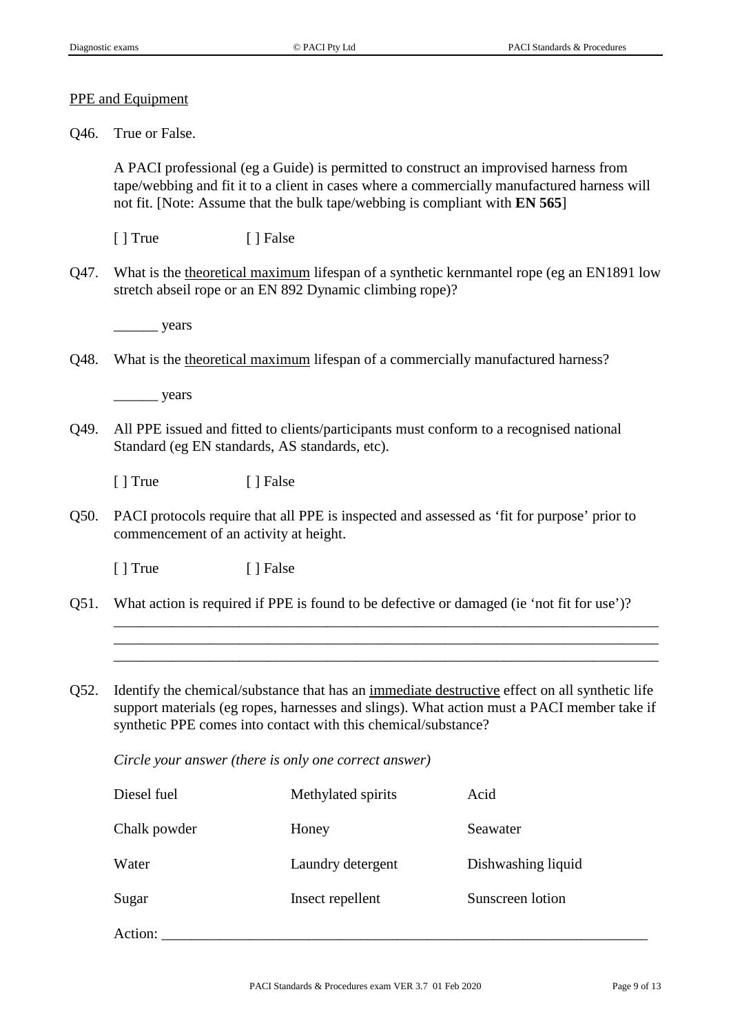#### PPE and Equipment

Q46. True or False.

A PACI professional (eg a Guide) is permitted to construct an improvised harness from tape/webbing and fit it to a client in cases where a commercially manufactured harness will not fit. [Note: Assume that the bulk tape/webbing is compliant with **EN 565**]

[ ] True [ ] False

Q47. What is the theoretical maximum lifespan of a synthetic kernmantel rope (eg an EN1891 low stretch abseil rope or an EN 892 Dynamic climbing rope)?

\_\_\_\_\_\_ years

Q48. What is the theoretical maximum lifespan of a commercially manufactured harness?

\_\_\_\_\_\_ years

Q49. All PPE issued and fitted to clients/participants must conform to a recognised national Standard (eg EN standards, AS standards, etc).

[ ] True [ ] False

Q50. PACI protocols require that all PPE is inspected and assessed as 'fit for purpose' prior to commencement of an activity at height.

[ ] True [ ] False

Q51. What action is required if PPE is found to be defective or damaged (ie 'not fit for use')?

\_\_\_\_\_\_\_\_\_\_\_\_\_\_\_\_\_\_\_\_\_\_\_\_\_\_\_\_\_\_\_\_\_\_\_\_\_\_\_\_\_\_\_\_\_\_\_\_\_\_\_\_\_\_\_\_\_\_\_\_\_\_\_\_\_\_\_\_\_\_\_\_\_\_ \_\_\_\_\_\_\_\_\_\_\_\_\_\_\_\_\_\_\_\_\_\_\_\_\_\_\_\_\_\_\_\_\_\_\_\_\_\_\_\_\_\_\_\_\_\_\_\_\_\_\_\_\_\_\_\_\_\_\_\_\_\_\_\_\_\_\_\_\_\_\_\_\_\_ \_\_\_\_\_\_\_\_\_\_\_\_\_\_\_\_\_\_\_\_\_\_\_\_\_\_\_\_\_\_\_\_\_\_\_\_\_\_\_\_\_\_\_\_\_\_\_\_\_\_\_\_\_\_\_\_\_\_\_\_\_\_\_\_\_\_\_\_\_\_\_\_\_\_

Q52. Identify the chemical/substance that has an immediate destructive effect on all synthetic life support materials (eg ropes, harnesses and slings). What action must a PACI member take if synthetic PPE comes into contact with this chemical/substance?

*Circle your answer (there is only one correct answer)*

| Diesel fuel  | Methylated spirits | Acid               |
|--------------|--------------------|--------------------|
| Chalk powder | Honey              | Seawater           |
| Water        | Laundry detergent  | Dishwashing liquid |
| Sugar        | Insect repellent   | Sunscreen lotion   |
| Action:      |                    |                    |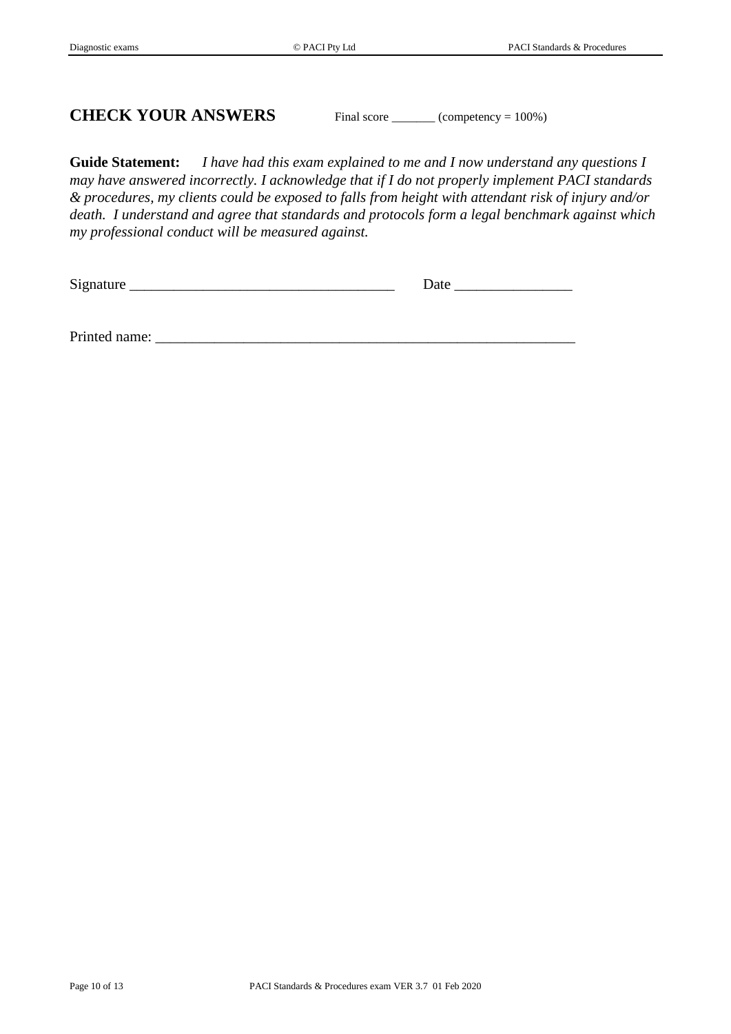# **CHECK YOUR ANSWERS** Final score \_\_\_\_\_\_\_ (competency = 100%)

**Guide Statement:** *I have had this exam explained to me and I now understand any questions I may have answered incorrectly. I acknowledge that if I do not properly implement PACI standards & procedures, my clients could be exposed to falls from height with attendant risk of injury and/or death. I understand and agree that standards and protocols form a legal benchmark against which my professional conduct will be measured against.*

Signature \_\_\_\_\_\_\_\_\_\_\_\_\_\_\_\_\_\_\_\_\_\_\_\_\_\_\_\_\_\_\_\_\_\_\_\_ Date \_\_\_\_\_\_\_\_\_\_\_\_\_\_\_\_

Printed name: \_\_\_\_\_\_\_\_\_\_\_\_\_\_\_\_\_\_\_\_\_\_\_\_\_\_\_\_\_\_\_\_\_\_\_\_\_\_\_\_\_\_\_\_\_\_\_\_\_\_\_\_\_\_\_\_\_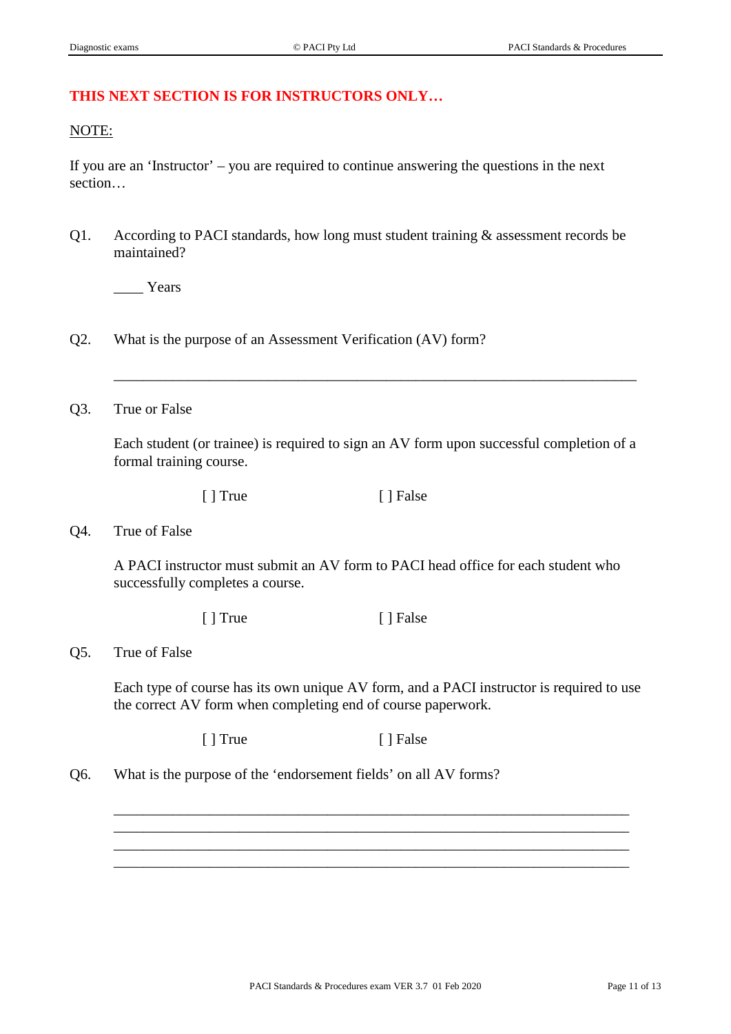## **THIS NEXT SECTION IS FOR INSTRUCTORS ONLY…**

#### NOTE:

If you are an 'Instructor' – you are required to continue answering the questions in the next section…

Q1. According to PACI standards, how long must student training & assessment records be maintained?

Years

- Q2. What is the purpose of an Assessment Verification (AV) form?
- Q3. True or False

Each student (or trainee) is required to sign an AV form upon successful completion of a formal training course.

\_\_\_\_\_\_\_\_\_\_\_\_\_\_\_\_\_\_\_\_\_\_\_\_\_\_\_\_\_\_\_\_\_\_\_\_\_\_\_\_\_\_\_\_\_\_\_\_\_\_\_\_\_\_\_\_\_\_\_\_\_\_\_\_\_\_\_\_\_\_\_

[ ] True [ ] False

Q4. True of False

A PACI instructor must submit an AV form to PACI head office for each student who successfully completes a course.

[ ] True [ ] False

## Q5. True of False

Each type of course has its own unique AV form, and a PACI instructor is required to use the correct AV form when completing end of course paperwork.

\_\_\_\_\_\_\_\_\_\_\_\_\_\_\_\_\_\_\_\_\_\_\_\_\_\_\_\_\_\_\_\_\_\_\_\_\_\_\_\_\_\_\_\_\_\_\_\_\_\_\_\_\_\_\_\_\_\_\_\_\_\_\_\_\_\_\_\_\_\_ \_\_\_\_\_\_\_\_\_\_\_\_\_\_\_\_\_\_\_\_\_\_\_\_\_\_\_\_\_\_\_\_\_\_\_\_\_\_\_\_\_\_\_\_\_\_\_\_\_\_\_\_\_\_\_\_\_\_\_\_\_\_\_\_\_\_\_\_\_\_ \_\_\_\_\_\_\_\_\_\_\_\_\_\_\_\_\_\_\_\_\_\_\_\_\_\_\_\_\_\_\_\_\_\_\_\_\_\_\_\_\_\_\_\_\_\_\_\_\_\_\_\_\_\_\_\_\_\_\_\_\_\_\_\_\_\_\_\_\_\_ \_\_\_\_\_\_\_\_\_\_\_\_\_\_\_\_\_\_\_\_\_\_\_\_\_\_\_\_\_\_\_\_\_\_\_\_\_\_\_\_\_\_\_\_\_\_\_\_\_\_\_\_\_\_\_\_\_\_\_\_\_\_\_\_\_\_\_\_\_\_

[ ] True [ ] False

Q6. What is the purpose of the 'endorsement fields' on all AV forms?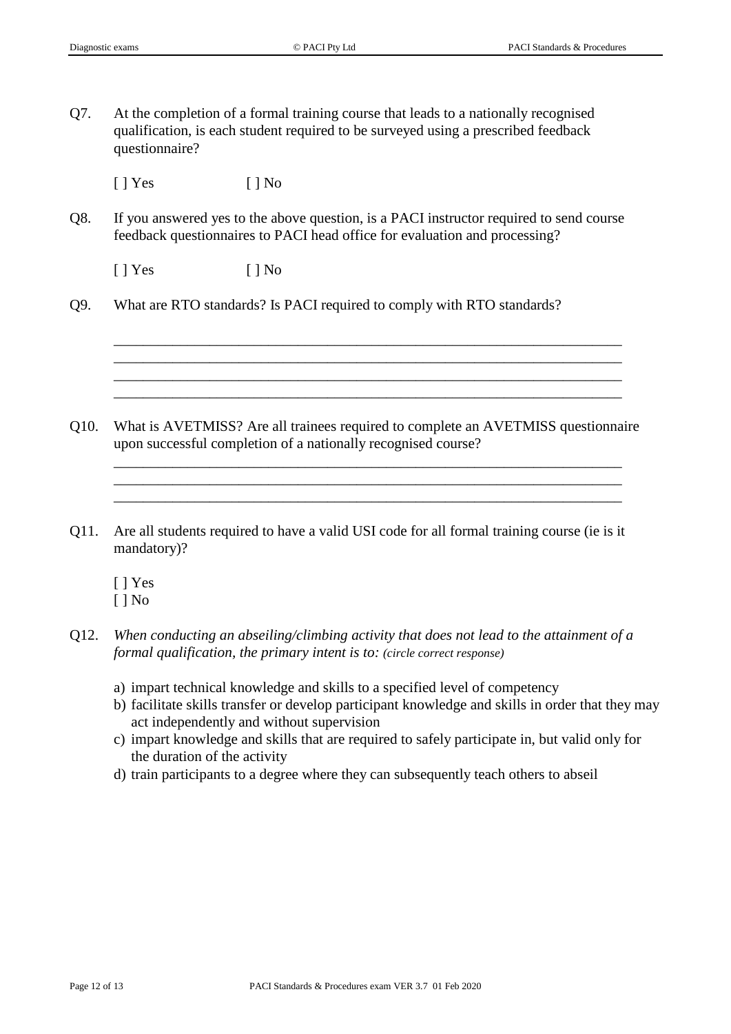Q7. At the completion of a formal training course that leads to a nationally recognised qualification, is each student required to be surveyed using a prescribed feedback questionnaire?

 $[ ]$  Yes  $[ ]$  No

Q8. If you answered yes to the above question, is a PACI instructor required to send course feedback questionnaires to PACI head office for evaluation and processing?

 $[ ]$  Yes  $[ ]$  No

Q9. What are RTO standards? Is PACI required to comply with RTO standards?

Q10. What is AVETMISS? Are all trainees required to complete an AVETMISS questionnaire upon successful completion of a nationally recognised course?

\_\_\_\_\_\_\_\_\_\_\_\_\_\_\_\_\_\_\_\_\_\_\_\_\_\_\_\_\_\_\_\_\_\_\_\_\_\_\_\_\_\_\_\_\_\_\_\_\_\_\_\_\_\_\_\_\_\_\_\_\_\_\_\_\_\_\_\_\_ \_\_\_\_\_\_\_\_\_\_\_\_\_\_\_\_\_\_\_\_\_\_\_\_\_\_\_\_\_\_\_\_\_\_\_\_\_\_\_\_\_\_\_\_\_\_\_\_\_\_\_\_\_\_\_\_\_\_\_\_\_\_\_\_\_\_\_\_\_ \_\_\_\_\_\_\_\_\_\_\_\_\_\_\_\_\_\_\_\_\_\_\_\_\_\_\_\_\_\_\_\_\_\_\_\_\_\_\_\_\_\_\_\_\_\_\_\_\_\_\_\_\_\_\_\_\_\_\_\_\_\_\_\_\_\_\_\_\_

\_\_\_\_\_\_\_\_\_\_\_\_\_\_\_\_\_\_\_\_\_\_\_\_\_\_\_\_\_\_\_\_\_\_\_\_\_\_\_\_\_\_\_\_\_\_\_\_\_\_\_\_\_\_\_\_\_\_\_\_\_\_\_\_\_\_\_\_\_ \_\_\_\_\_\_\_\_\_\_\_\_\_\_\_\_\_\_\_\_\_\_\_\_\_\_\_\_\_\_\_\_\_\_\_\_\_\_\_\_\_\_\_\_\_\_\_\_\_\_\_\_\_\_\_\_\_\_\_\_\_\_\_\_\_\_\_\_\_ \_\_\_\_\_\_\_\_\_\_\_\_\_\_\_\_\_\_\_\_\_\_\_\_\_\_\_\_\_\_\_\_\_\_\_\_\_\_\_\_\_\_\_\_\_\_\_\_\_\_\_\_\_\_\_\_\_\_\_\_\_\_\_\_\_\_\_\_\_ \_\_\_\_\_\_\_\_\_\_\_\_\_\_\_\_\_\_\_\_\_\_\_\_\_\_\_\_\_\_\_\_\_\_\_\_\_\_\_\_\_\_\_\_\_\_\_\_\_\_\_\_\_\_\_\_\_\_\_\_\_\_\_\_\_\_\_\_\_

- Q11. Are all students required to have a valid USI code for all formal training course (ie is it mandatory)?
	- [ ] Yes [ ] No
- Q12. *When conducting an abseiling/climbing activity that does not lead to the attainment of a formal qualification, the primary intent is to: (circle correct response)*
	- a) impart technical knowledge and skills to a specified level of competency
	- b) facilitate skills transfer or develop participant knowledge and skills in order that they may act independently and without supervision
	- c) impart knowledge and skills that are required to safely participate in, but valid only for the duration of the activity
	- d) train participants to a degree where they can subsequently teach others to abseil